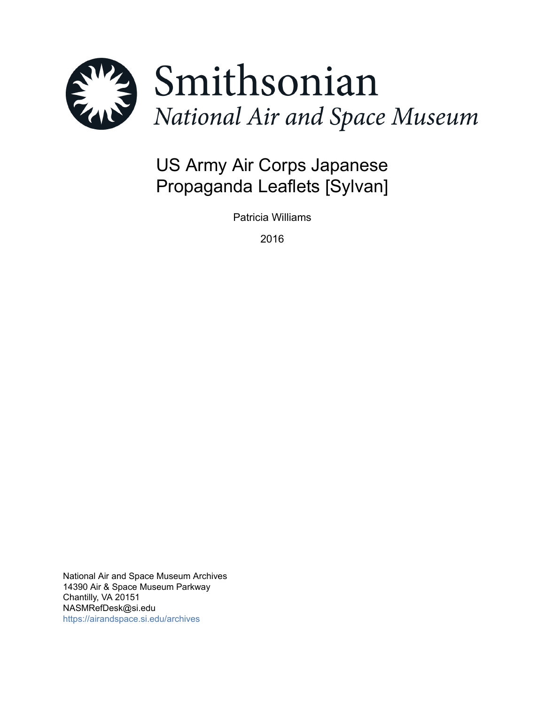

# US Army Air Corps Japanese Propaganda Leaflets [Sylvan]

Patricia Williams

2016

National Air and Space Museum Archives 14390 Air & Space Museum Parkway Chantilly, VA 20151 NASMRefDesk@si.edu <https://airandspace.si.edu/archives>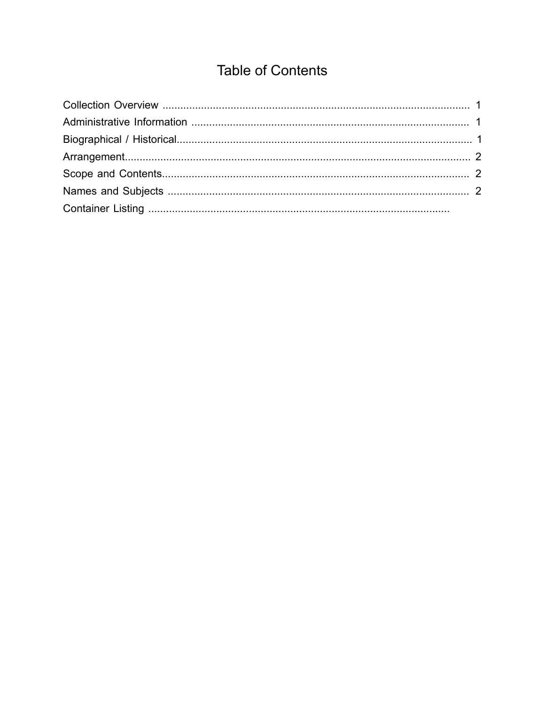## **Table of Contents**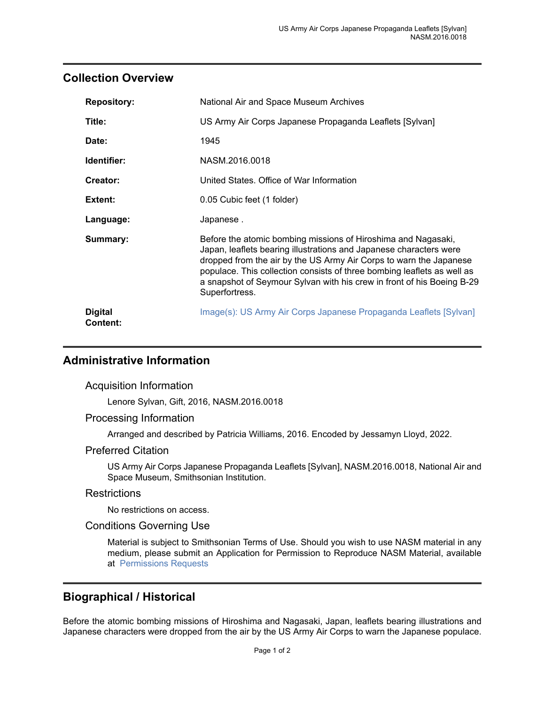### <span id="page-2-0"></span>**Collection Overview**

| <b>Repository:</b>                | National Air and Space Museum Archives                                                                                                                                                                                                                                                                                                                                           |
|-----------------------------------|----------------------------------------------------------------------------------------------------------------------------------------------------------------------------------------------------------------------------------------------------------------------------------------------------------------------------------------------------------------------------------|
| Title:                            | US Army Air Corps Japanese Propaganda Leaflets [Sylvan]                                                                                                                                                                                                                                                                                                                          |
| Date:                             | 1945                                                                                                                                                                                                                                                                                                                                                                             |
| Identifier:                       | NASM.2016.0018                                                                                                                                                                                                                                                                                                                                                                   |
| Creator:                          | United States. Office of War Information                                                                                                                                                                                                                                                                                                                                         |
| Extent:                           | 0.05 Cubic feet (1 folder)                                                                                                                                                                                                                                                                                                                                                       |
| Language:                         | Japanese.                                                                                                                                                                                                                                                                                                                                                                        |
| Summary:                          | Before the atomic bombing missions of Hiroshima and Nagasaki,<br>Japan, leaflets bearing illustrations and Japanese characters were<br>dropped from the air by the US Army Air Corps to warn the Japanese<br>populace. This collection consists of three bombing leaflets as well as<br>a snapshot of Seymour Sylvan with his crew in front of his Boeing B-29<br>Superfortress. |
| <b>Digital</b><br><b>Content:</b> | Image(s): US Army Air Corps Japanese Propaganda Leaflets [Sylvan]                                                                                                                                                                                                                                                                                                                |

## <span id="page-2-1"></span>**Administrative Information**

Acquisition Information

Lenore Sylvan, Gift, 2016, NASM.2016.0018

#### Processing Information

Arranged and described by Patricia Williams, 2016. Encoded by Jessamyn Lloyd, 2022.

#### Preferred Citation

US Army Air Corps Japanese Propaganda Leaflets [Sylvan], NASM.2016.0018, National Air and Space Museum, Smithsonian Institution.

#### **Restrictions**

No restrictions on access.

#### Conditions Governing Use

Material is subject to Smithsonian Terms of Use. Should you wish to use NASM material in any medium, please submit an Application for Permission to Reproduce NASM Material, available at [Permissions Requests](http://airandspace.si.edu/permissions)

## <span id="page-2-2"></span>**Biographical / Historical**

Before the atomic bombing missions of Hiroshima and Nagasaki, Japan, leaflets bearing illustrations and Japanese characters were dropped from the air by the US Army Air Corps to warn the Japanese populace.